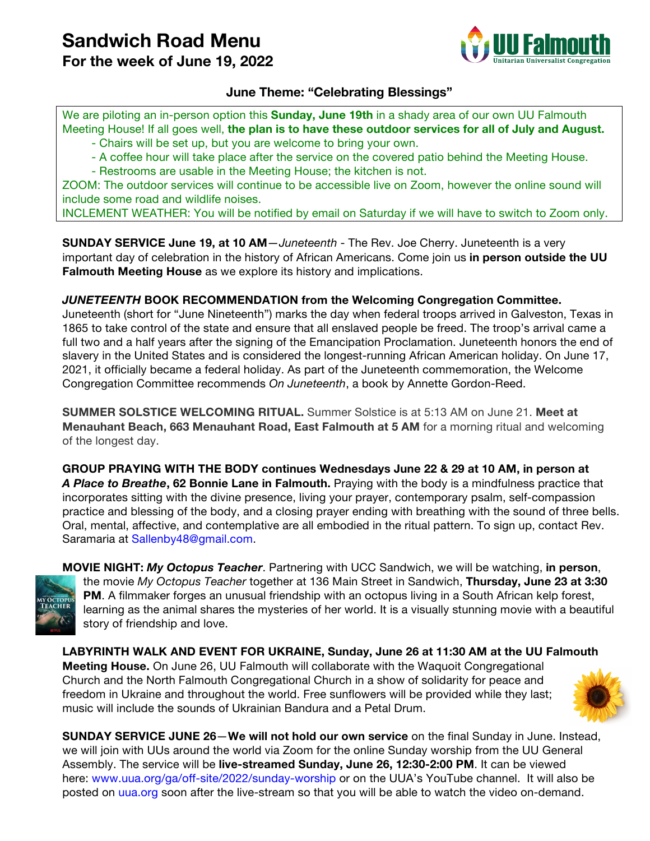## **Sandwich Road Menu**

**For the week of June 19, 2022**



## **June Theme: "Celebrating Blessings"**

We are piloting an in-person option this **Sunday, June 19th** in a shady area of our own UU Falmouth Meeting House! If all goes well, **the plan is to have these outdoor services for all of July and August.**

- Chairs will be set up, but you are welcome to bring your own.

- A coffee hour will take place after the service on the covered patio behind the Meeting House.

- Restrooms are usable in the Meeting House; the kitchen is not.

ZOOM: The outdoor services will continue to be accessible live on Zoom, however the online sound will include some road and wildlife noises.

INCLEMENT WEATHER: You will be notified by email on Saturday if we will have to switch to Zoom only.

**SUNDAY SERVICE June 19, at 10 AM**—*Juneteenth* - The Rev. Joe Cherry. Juneteenth is a very important day of celebration in the history of African Americans. Come join us **in person outside the UU Falmouth Meeting House** as we explore its history and implications.

## *JUNETEENTH* **BOOK RECOMMENDATION from the Welcoming Congregation Committee.**

Juneteenth (short for "June Nineteenth") marks the day when federal troops arrived in Galveston, Texas in 1865 to take control of the state and ensure that all enslaved people be freed. The troop's arrival came a full two and a half years after the signing of the Emancipation Proclamation. Juneteenth honors the end of slavery in the United States and is considered the longest-running African American holiday. On June 17, 2021, it officially became a federal holiday. As part of the Juneteenth commemoration, the Welcome Congregation Committee recommends *On Juneteenth*, a book by Annette Gordon-Reed.

**SUMMER SOLSTICE WELCOMING RITUAL.** Summer Solstice is at 5:13 AM on June 21. **Meet at Menauhant Beach, 663 Menauhant Road, East Falmouth at 5 AM** for a morning ritual and welcoming of the longest day.

**GROUP PRAYING WITH THE BODY continues Wednesdays June 22 & 29 at 10 AM, in person at**  *A Place to Breathe***, 62 Bonnie Lane in Falmouth.** Praying with the body is a mindfulness practice that incorporates sitting with the divine presence, living your prayer, contemporary psalm, self-compassion practice and blessing of the body, and a closing prayer ending with breathing with the sound of three bells. Oral, mental, affective, and contemplative are all embodied in the ritual pattern. To sign up, contact Rev. Saramaria at Sallenby48@gmail.com.



**MOVIE NIGHT:** *My Octopus Teacher*. Partnering with UCC Sandwich, we will be watching, **in person**, the movie *My Octopus Teacher* together at 136 Main Street in Sandwich, **Thursday, June 23 at 3:30 PM**. A filmmaker forges an unusual friendship with an octopus living in a South African kelp forest, learning as the animal shares the mysteries of her world. It is a visually stunning movie with a beautiful story of friendship and love.

**LABYRINTH WALK AND EVENT FOR UKRAINE, Sunday, June 26 at 11:30 AM at the UU Falmouth Meeting House.** On June 26, UU Falmouth will collaborate with the Waquoit Congregational Church and the North Falmouth Congregational Church in a show of solidarity for peace and freedom in Ukraine and throughout the world. Free sunflowers will be provided while they last; music will include the sounds of Ukrainian Bandura and a Petal Drum.



**SUNDAY SERVICE JUNE 26**—**We will not hold our own service** on the final Sunday in June. Instead, we will join with UUs around the world via Zoom for the online Sunday worship from the UU General Assembly. The service will be **live-streamed Sunday, June 26, 12:30-2:00 PM**. It can be viewed here: www.uua.org/ga/off-site/2022/sunday-worship or on the UUA's YouTube channel. It will also be posted on uua.org soon after the live-stream so that you will be able to watch the video on-demand.